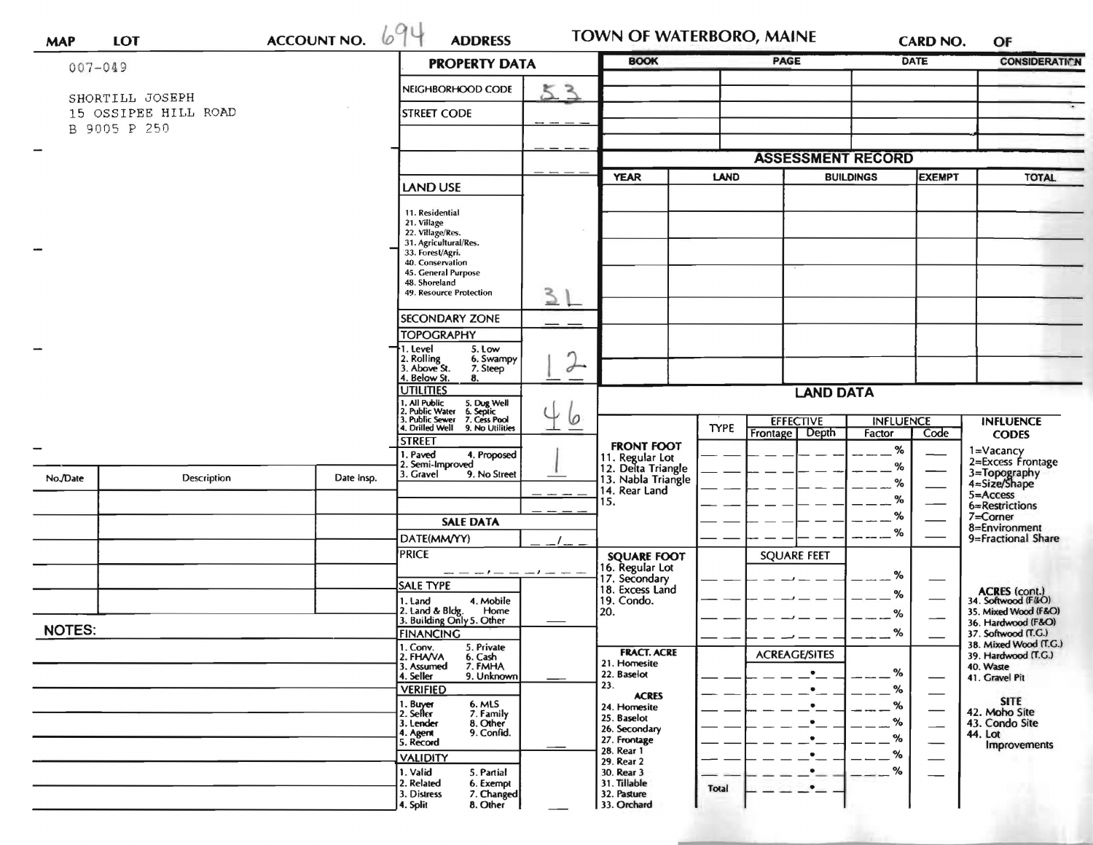| <b>MAP</b>    |                      |                                                                 |                                                                      |                              |                                       |       | <b>TOWN OF WATERBORO, MAINE</b> |                                   | CARD NO.                 | OF                                           |
|---------------|----------------------|-----------------------------------------------------------------|----------------------------------------------------------------------|------------------------------|---------------------------------------|-------|---------------------------------|-----------------------------------|--------------------------|----------------------------------------------|
| $007 - 049$   |                      |                                                                 | <b>PROPERTY DATA</b>                                                 |                              | <b>BOOK</b>                           |       | <b>PAGE</b>                     |                                   | DATE                     | <b>CONSIDERATION</b>                         |
|               | SHORTILL JOSEPH      |                                                                 | NEIGHBORHOOD CODE                                                    | 53                           |                                       |       |                                 |                                   |                          |                                              |
|               | 15 OSSIPEE HILL ROAD |                                                                 | <b>STREET CODE</b>                                                   |                              |                                       |       |                                 |                                   |                          |                                              |
|               | B 9005 P 250         |                                                                 |                                                                      |                              |                                       |       |                                 |                                   |                          |                                              |
|               |                      |                                                                 |                                                                      |                              |                                       |       | <b>ASSESSMENT RECORD</b>        |                                   |                          |                                              |
|               |                      |                                                                 |                                                                      |                              | LAND<br><b>YEAR</b>                   |       |                                 | <b>BUILDINGS</b><br><b>EXEMPT</b> |                          | <b>TOTAL</b>                                 |
|               |                      |                                                                 | <b>LAND USE</b>                                                      |                              |                                       |       |                                 |                                   |                          |                                              |
|               |                      |                                                                 | 11. Residential                                                      |                              |                                       |       |                                 |                                   |                          |                                              |
|               |                      |                                                                 | 21. Village<br>22. Village/Res.                                      |                              |                                       |       |                                 |                                   |                          |                                              |
|               |                      |                                                                 | 31. Agricultural/Res.<br>33. Forest/Agri.                            |                              |                                       |       |                                 |                                   |                          |                                              |
|               |                      |                                                                 | 40. Conservation<br>45. General Purpose                              |                              |                                       |       |                                 |                                   |                          |                                              |
|               |                      |                                                                 | 48. Shoreland<br>49. Resource Protection                             | 31                           |                                       |       |                                 |                                   |                          |                                              |
|               |                      |                                                                 |                                                                      |                              |                                       |       |                                 |                                   |                          |                                              |
|               |                      |                                                                 | <b>SECONDARY ZONE</b><br><b>TOPOGRAPHY</b>                           |                              |                                       |       |                                 |                                   |                          |                                              |
|               |                      |                                                                 | . Level<br>5. Low                                                    |                              |                                       |       |                                 |                                   |                          |                                              |
|               |                      |                                                                 | 2. Rolling<br>3. Above St.<br>6. Swampy<br>7. Steep                  | $\sqrt{ }$<br>$\overline{a}$ |                                       |       |                                 |                                   |                          |                                              |
|               |                      | 4. Below St.<br>8.<br><b>UTILITIES</b>                          |                                                                      |                              |                                       |       |                                 |                                   |                          |                                              |
|               |                      | . All Public<br>. Public Water<br>5. Dug Well<br>6. Septic      |                                                                      | <b>LAND DATA</b>             |                                       |       |                                 |                                   |                          |                                              |
|               |                      | 3. Public Sewer 7. Cess Pool<br>4. Drilled Well 9. No Utilities | 0                                                                    |                              | <b>EFFECTIVE</b><br><b>TYPE</b>       |       | <b>INFLUENCE</b>                |                                   | <b>INFLUENCE</b>         |                                              |
|               |                      |                                                                 | <b>STREET</b>                                                        |                              | <b>FRONT FOOT</b>                     |       | Depth<br>Frontage               | Factor                            | Code                     | <b>CODES</b>                                 |
|               |                      |                                                                 | 1. Paved<br>4. Proposed<br>2. Semi-Improved                          |                              | 11. Regular Lot<br>12. Delta Triangle |       |                                 | %<br>%                            |                          | 1=Vacancy<br>2=Excess Frontage               |
| No./Date      | Description          | Date Insp.                                                      | 3. Gravel<br>9. No Street                                            |                              | 13. Nabla Triangle                    |       |                                 | %                                 |                          | 3=Topography<br>4=Size/Shape<br>5=Access     |
|               |                      |                                                                 |                                                                      |                              | 14. Rear Land<br>15.                  |       |                                 | %                                 |                          | 6=Restrictions                               |
|               |                      |                                                                 | <b>SALE DATA</b>                                                     |                              |                                       |       |                                 | %                                 |                          | 7=Corner                                     |
|               |                      |                                                                 | DATE(MM/YY)                                                          |                              |                                       |       |                                 | %                                 |                          | 8=Environment<br>9=Fractional Share          |
|               |                      |                                                                 | <b>PRICE</b>                                                         |                              | <b>SQUARE FOOT</b>                    |       | <b>SQUARE FEET</b>              |                                   |                          |                                              |
|               |                      |                                                                 | $-1$ $-$                                                             |                              | 16. Regular Lot<br>17. Secondary      |       |                                 | %                                 |                          |                                              |
|               |                      |                                                                 | <b>SALE TYPE</b><br>4. Mobile                                        |                              | 18. Excess Land<br>19. Condo.         |       |                                 | %                                 |                          | <b>ACRES</b> (cont.)<br>34. Softwood (F&O)   |
|               |                      |                                                                 | 1. Land<br>2. Land & Bldg. Home<br>3. Building Only 5. Other<br>Home |                              | 20.                                   |       |                                 | %                                 |                          | 35. Mixed Wood (F&O)                         |
| <b>NOTES:</b> |                      |                                                                 | <b>FINANCING</b>                                                     |                              |                                       |       |                                 | %                                 |                          | 36. Hardwood (F&O)<br>37. Softwood (T.G.)    |
|               |                      |                                                                 | 1. Conv.<br>5. Private<br>2. FHAVA<br>6. Cash                        |                              | <b>FRACT. ACRE</b>                    |       | <b>ACREAGE/SITES</b>            |                                   |                          | 38. Mixed Wood (T.G.)<br>39. Hardwood (T.G.) |
|               |                      |                                                                 | 3. Assumed<br>7. FMHA<br>4. Seller<br>9. Unknown                     |                              | 21. Homesite<br>22. Baselot           |       | ٠                               | %                                 |                          | 40. Waste                                    |
|               |                      |                                                                 | <b>VERIFIED</b>                                                      |                              | 23.                                   |       | ٠                               | %                                 |                          | 41. Gravel Pit                               |
|               |                      |                                                                 | 6. MLS<br>1. Buyer<br>2. Seller<br>7. Family                         |                              | <b>ACRES</b><br>24. Homesite          |       | ٠                               | %                                 |                          | <b>SITE</b><br>42. Moho Site                 |
|               |                      |                                                                 | 3. Lender<br>8. Other                                                |                              | 25. Baselot<br>26. Secondary          |       | $\bullet$                       | %                                 | $\overline{\phantom{0}}$ | 43. Condo Site                               |
|               |                      |                                                                 | 9. Confid.<br>4. Agent<br>5. Record                                  |                              | 27. Frontage                          |       | ٠                               | %                                 |                          | 44. Lot<br>Improvements                      |
|               |                      |                                                                 | <b>VALIDITY</b>                                                      |                              | 28. Rear 1<br>29. Rear 2              |       | $\bullet$                       | %                                 |                          |                                              |
|               |                      |                                                                 | 1. Valid<br>5. Partial<br>2. Related<br>6. Exempt                    |                              | 30. Rear 3<br>31. Tillable            |       | $\bullet$                       | %                                 |                          |                                              |
|               |                      |                                                                 | 3. Distress<br>7. Changed                                            |                              | 32. Pasture                           | Total | $\bullet$ .                     |                                   |                          |                                              |